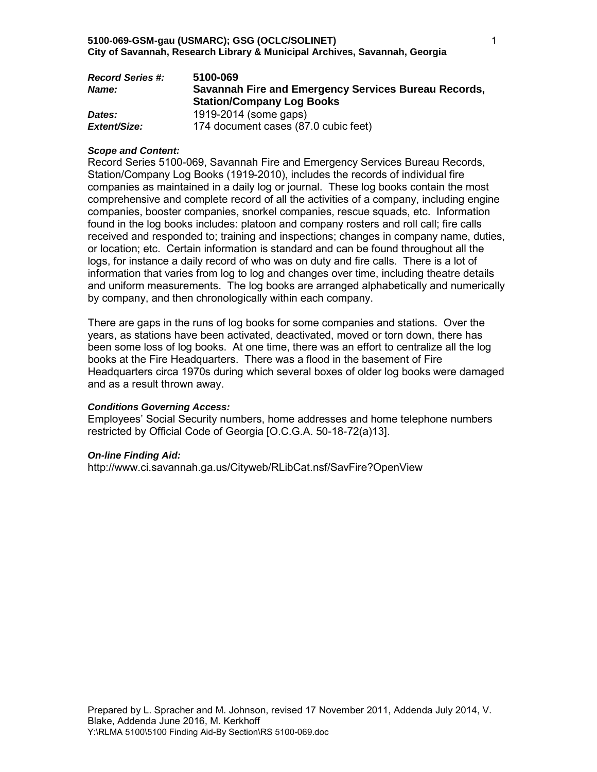| <b>Record Series #:</b> | 5100-069                                             |
|-------------------------|------------------------------------------------------|
| <b>Name:</b>            | Savannah Fire and Emergency Services Bureau Records, |
|                         | <b>Station/Company Log Books</b>                     |
| Dates:                  | 1919-2014 (some gaps)                                |
| Extent/Size:            | 174 document cases (87.0 cubic feet)                 |

### *Scope and Content:*

Record Series 5100-069, Savannah Fire and Emergency Services Bureau Records, Station/Company Log Books (1919-2010), includes the records of individual fire companies as maintained in a daily log or journal. These log books contain the most comprehensive and complete record of all the activities of a company, including engine companies, booster companies, snorkel companies, rescue squads, etc. Information found in the log books includes: platoon and company rosters and roll call; fire calls received and responded to; training and inspections; changes in company name, duties, or location; etc. Certain information is standard and can be found throughout all the logs, for instance a daily record of who was on duty and fire calls. There is a lot of information that varies from log to log and changes over time, including theatre details and uniform measurements. The log books are arranged alphabetically and numerically by company, and then chronologically within each company.

There are gaps in the runs of log books for some companies and stations. Over the years, as stations have been activated, deactivated, moved or torn down, there has been some loss of log books. At one time, there was an effort to centralize all the log books at the Fire Headquarters. There was a flood in the basement of Fire Headquarters circa 1970s during which several boxes of older log books were damaged and as a result thrown away.

# *Conditions Governing Access:*

Employees' Social Security numbers, home addresses and home telephone numbers restricted by Official Code of Georgia [O.C.G.A. 50-18-72(a)13].

### *On-line Finding Aid:*

http://www.ci.savannah.ga.us/Cityweb/RLibCat.nsf/SavFire?OpenView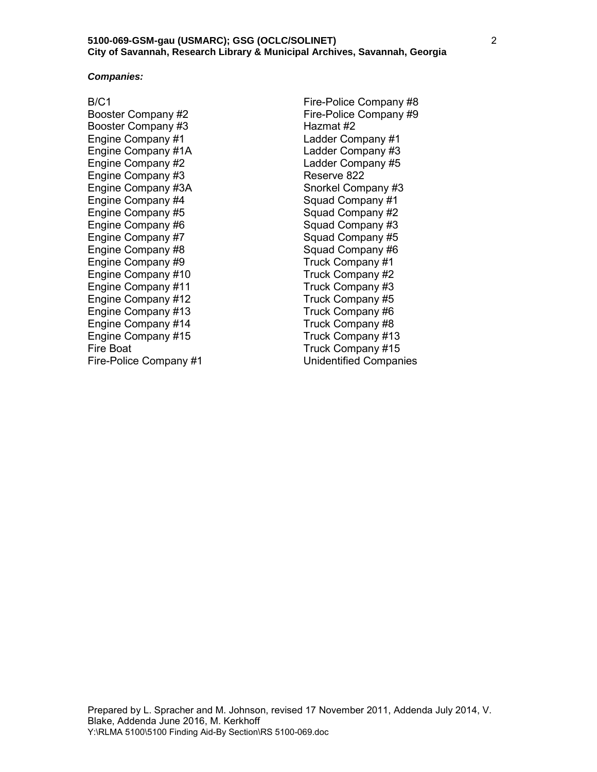#### *Companies:*

B/C1

Booster Company #2 Booster Company #3 Engine Company #1 Engine Company #1A Engine Company #2 Engine Company #3 Engine Company #3A Engine Company #4 Engine Company #5 Engine Company #6 Engine Company #7 Engine Company #8 Engine Company #9 Engine Company #10 Engine Company #11 Engine Company #12 Engine Company #13 Engine Company #14 Engine Company #15 Fire Boat Fire-Police Company #1

Fire-Police Company #8 Fire-Police Company #9 Hazmat #2 Ladder Company #1 Ladder Company #3 Ladder Company #5 Reserve 822 Snorkel Company #3 Squad Company #1 Squad Company #2 Squad Company #3 Squad Company #5 Squad Company #6 Truck Company #1 Truck Company #2 Truck Company #3 Truck Company #5 Truck Company #6 Truck Company #8 Truck Company #13 Truck Company #15 Unidentified Companies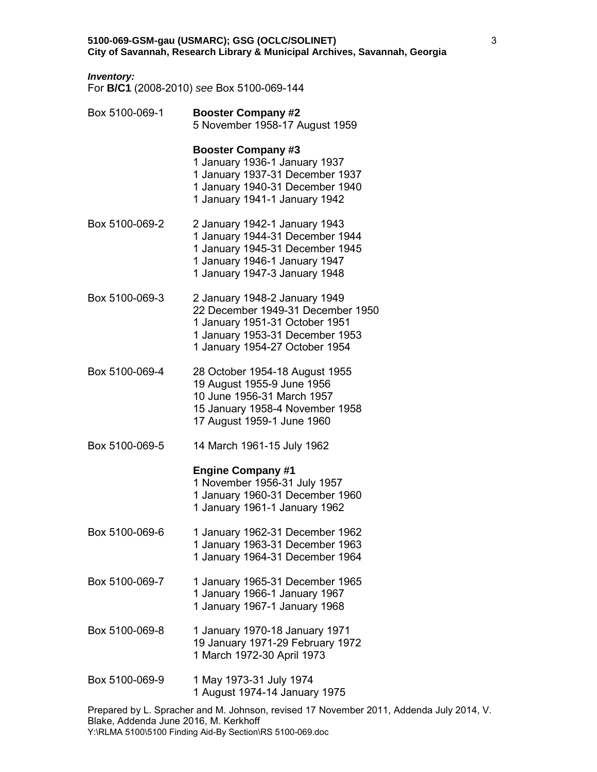# *Inventory:*

For **B/C1** (2008-2010) *see* Box 5100-069-144

| Box 5100-069-1 | <b>Booster Company #2</b><br>5 November 1958-17 August 1959                                                                                                               |
|----------------|---------------------------------------------------------------------------------------------------------------------------------------------------------------------------|
|                | <b>Booster Company #3</b><br>1 January 1936-1 January 1937<br>1 January 1937-31 December 1937<br>1 January 1940-31 December 1940<br>1 January 1941-1 January 1942         |
| Box 5100-069-2 | 2 January 1942-1 January 1943<br>1 January 1944-31 December 1944<br>1 January 1945-31 December 1945<br>1 January 1946-1 January 1947<br>1 January 1947-3 January 1948     |
| Box 5100-069-3 | 2 January 1948-2 January 1949<br>22 December 1949-31 December 1950<br>1 January 1951-31 October 1951<br>1 January 1953-31 December 1953<br>1 January 1954-27 October 1954 |
| Box 5100-069-4 | 28 October 1954-18 August 1955<br>19 August 1955-9 June 1956<br>10 June 1956-31 March 1957<br>15 January 1958-4 November 1958<br>17 August 1959-1 June 1960               |
| Box 5100-069-5 | 14 March 1961-15 July 1962                                                                                                                                                |
|                | <b>Engine Company #1</b><br>1 November 1956-31 July 1957<br>1 January 1960-31 December 1960<br>1 January 1961-1 January 1962                                              |
| Box 5100-069-6 | 1 January 1962-31 December 1962<br>1 January 1963-31 December 1963<br>1 January 1964-31 December 1964                                                                     |
| Box 5100-069-7 | 1 January 1965-31 December 1965<br>1 January 1966-1 January 1967<br>1 January 1967-1 January 1968                                                                         |
| Box 5100-069-8 | 1 January 1970-18 January 1971<br>19 January 1971-29 February 1972<br>1 March 1972-30 April 1973                                                                          |
| Box 5100-069-9 | 1 May 1973-31 July 1974<br>1 August 1974-14 January 1975                                                                                                                  |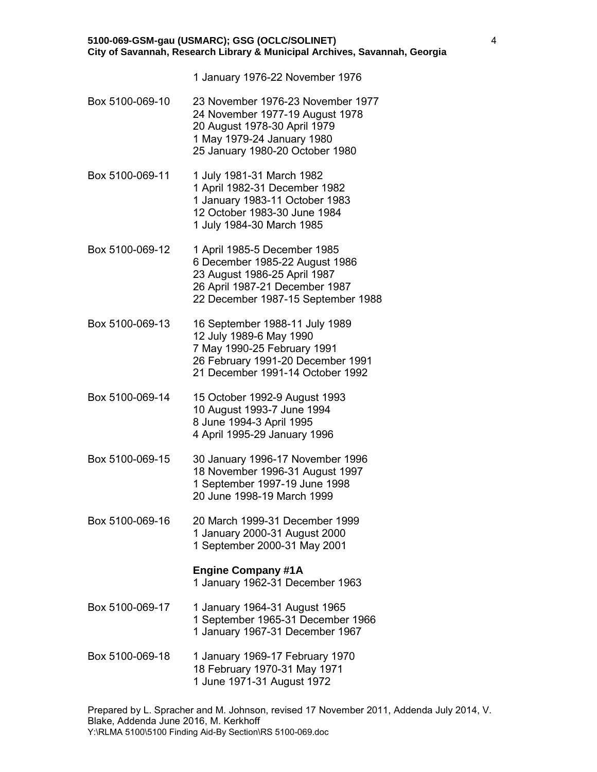1 January 1976-22 November 1976

- Box 5100-069-10 23 November 1976-23 November 1977 24 November 1977-19 August 1978 20 August 1978-30 April 1979 1 May 1979-24 January 1980 25 January 1980-20 October 1980
- Box 5100-069-11 1 July 1981-31 March 1982 1 April 1982-31 December 1982 1 January 1983-11 October 1983 12 October 1983-30 June 1984 1 July 1984-30 March 1985
- Box 5100-069-12 1 April 1985-5 December 1985 6 December 1985-22 August 1986 23 August 1986-25 April 1987 26 April 1987-21 December 1987 22 December 1987-15 September 1988
- Box 5100-069-13 16 September 1988-11 July 1989 12 July 1989-6 May 1990 7 May 1990-25 February 1991 26 February 1991-20 December 1991 21 December 1991-14 October 1992
- Box 5100-069-14 15 October 1992-9 August 1993 10 August 1993-7 June 1994 8 June 1994-3 April 1995 4 April 1995-29 January 1996
- Box 5100-069-15 30 January 1996-17 November 1996 18 November 1996-31 August 1997 1 September 1997-19 June 1998 20 June 1998-19 March 1999
- Box 5100-069-16 20 March 1999-31 December 1999 1 January 2000-31 August 2000 1 September 2000-31 May 2001

### **Engine Company #1A**

1 January 1962-31 December 1963

- Box 5100-069-17 1 January 1964-31 August 1965 1 September 1965-31 December 1966 1 January 1967-31 December 1967
- Box 5100-069-18 1 January 1969-17 February 1970 18 February 1970-31 May 1971 1 June 1971-31 August 1972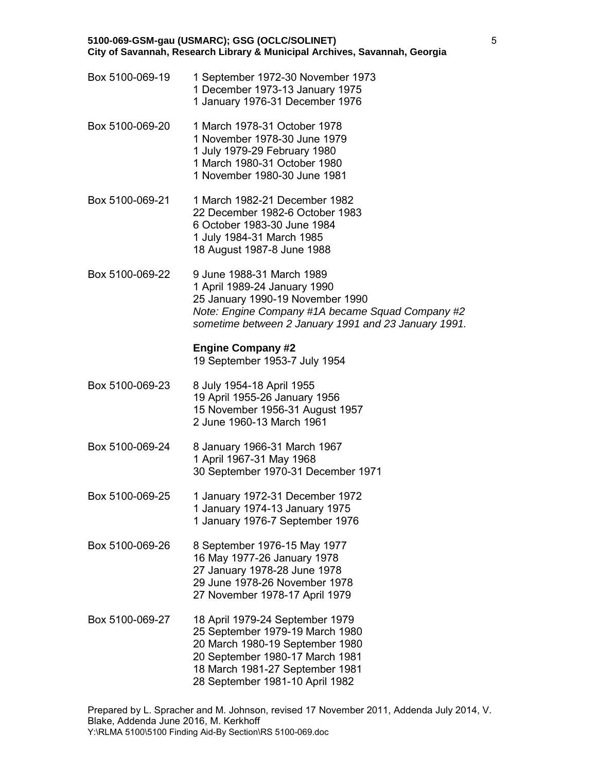- Box 5100-069-19 1 September 1972-30 November 1973 1 December 1973-13 January 1975 1 January 1976-31 December 1976
- Box 5100-069-20 1 March 1978-31 October 1978 1 November 1978-30 June 1979 1 July 1979-29 February 1980 1 March 1980-31 October 1980 1 November 1980-30 June 1981
- Box 5100-069-21 1 March 1982-21 December 1982 22 December 1982-6 October 1983 6 October 1983-30 June 1984 1 July 1984-31 March 1985 18 August 1987-8 June 1988
- Box 5100-069-22 9 June 1988-31 March 1989 1 April 1989-24 January 1990 25 January 1990-19 November 1990 *Note: Engine Company #1A became Squad Company #2 sometime between 2 January 1991 and 23 January 1991.*

# **Engine Company #2**

19 September 1953-7 July 1954

- Box 5100-069-23 8 July 1954-18 April 1955 19 April 1955-26 January 1956 15 November 1956-31 August 1957 2 June 1960-13 March 1961
- Box 5100-069-24 8 January 1966-31 March 1967 1 April 1967-31 May 1968 30 September 1970-31 December 1971
- Box 5100-069-25 1 January 1972-31 December 1972 1 January 1974-13 January 1975 1 January 1976-7 September 1976
- Box 5100-069-26 8 September 1976-15 May 1977 16 May 1977-26 January 1978 27 January 1978-28 June 1978 29 June 1978-26 November 1978 27 November 1978-17 April 1979
- Box 5100-069-27 18 April 1979-24 September 1979 25 September 1979-19 March 1980 20 March 1980-19 September 1980 20 September 1980-17 March 1981 18 March 1981-27 September 1981 28 September 1981-10 April 1982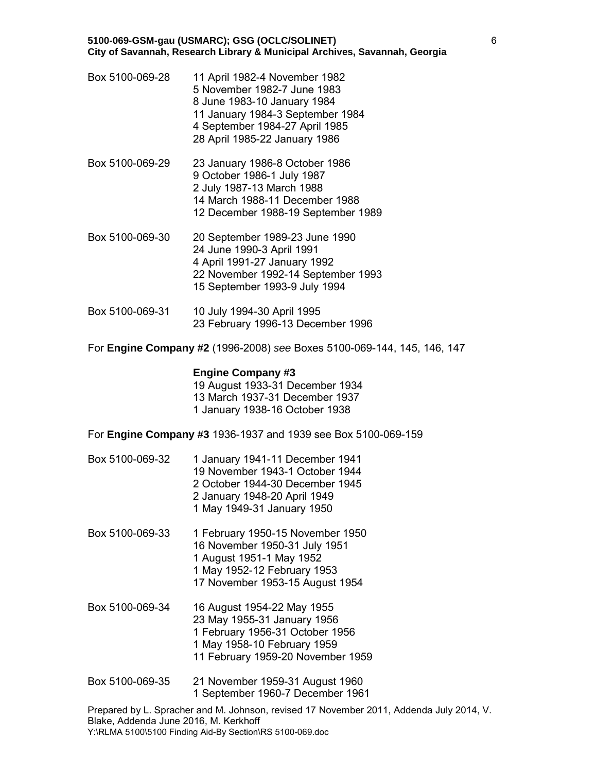- Box 5100-069-28 11 April 1982-4 November 1982 5 November 1982-7 June 1983 8 June 1983-10 January 1984 11 January 1984-3 September 1984 4 September 1984-27 April 1985 28 April 1985-22 January 1986
- Box 5100-069-29 23 January 1986-8 October 1986 9 October 1986-1 July 1987 2 July 1987-13 March 1988 14 March 1988-11 December 1988 12 December 1988-19 September 1989
- Box 5100-069-30 20 September 1989-23 June 1990 24 June 1990-3 April 1991 4 April 1991-27 January 1992 22 November 1992-14 September 1993 15 September 1993-9 July 1994
- Box 5100-069-31 10 July 1994-30 April 1995 23 February 1996-13 December 1996

For **Engine Company #2** (1996-2008) *see* Boxes 5100-069-144, 145, 146, 147

# **Engine Company #3**

19 August 1933-31 December 1934 13 March 1937-31 December 1937 1 January 1938-16 October 1938

For **Engine Company #3** 1936-1937 and 1939 see Box 5100-069-159

- Box 5100-069-32 1 January 1941-11 December 1941 19 November 1943-1 October 1944 2 October 1944-30 December 1945 2 January 1948-20 April 1949 1 May 1949-31 January 1950
- Box 5100-069-33 1 February 1950-15 November 1950 16 November 1950-31 July 1951 1 August 1951-1 May 1952 1 May 1952-12 February 1953 17 November 1953-15 August 1954
- Box 5100-069-34 16 August 1954-22 May 1955 23 May 1955-31 January 1956 1 February 1956-31 October 1956 1 May 1958-10 February 1959 11 February 1959-20 November 1959
- Box 5100-069-35 21 November 1959-31 August 1960 1 September 1960-7 December 1961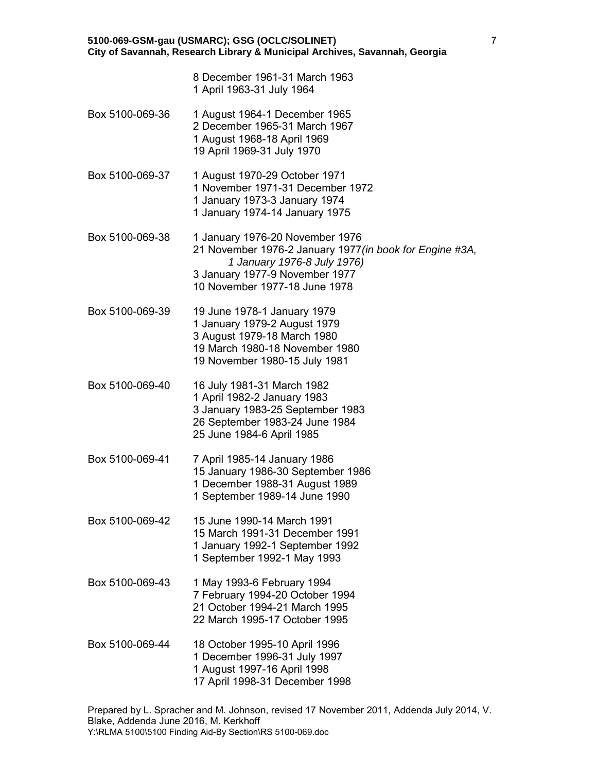8 December 1961-31 March 1963 1 April 1963-31 July 1964

- Box 5100-069-36 1 August 1964-1 December 1965 2 December 1965-31 March 1967 1 August 1968-18 April 1969 19 April 1969-31 July 1970
- Box 5100-069-37 1 August 1970-29 October 1971 1 November 1971-31 December 1972 1 January 1973-3 January 1974 1 January 1974-14 January 1975
- Box 5100-069-38 1 January 1976-20 November 1976 21 November 1976-2 January 1977*(in book for Engine #3A, 1 January 1976-8 July 1976)* 3 January 1977-9 November 1977 10 November 1977-18 June 1978
- Box 5100-069-39 19 June 1978-1 January 1979 1 January 1979-2 August 1979 3 August 1979-18 March 1980 19 March 1980-18 November 1980 19 November 1980-15 July 1981
- Box 5100-069-40 16 July 1981-31 March 1982 1 April 1982-2 January 1983 3 January 1983-25 September 1983 26 September 1983-24 June 1984 25 June 1984-6 April 1985
- Box 5100-069-41 7 April 1985-14 January 1986 15 January 1986-30 September 1986 1 December 1988-31 August 1989 1 September 1989-14 June 1990
- Box 5100-069-42 15 June 1990-14 March 1991 15 March 1991-31 December 1991 1 January 1992-1 September 1992 1 September 1992-1 May 1993
- Box 5100-069-43 1 May 1993-6 February 1994 7 February 1994-20 October 1994 21 October 1994-21 March 1995 22 March 1995-17 October 1995
- Box 5100-069-44 18 October 1995-10 April 1996 1 December 1996-31 July 1997 1 August 1997-16 April 1998 17 April 1998-31 December 1998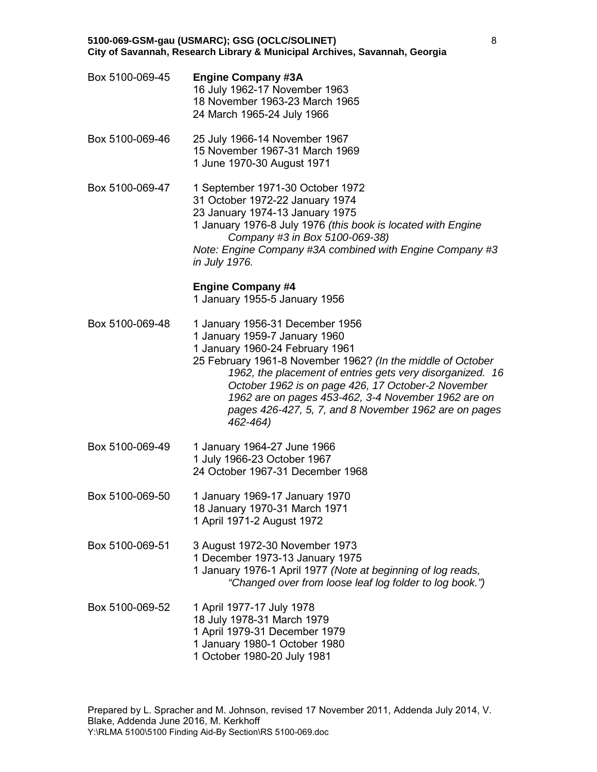- Box 5100-069-45 **Engine Company #3A** 16 July 1962-17 November 1963 18 November 1963-23 March 1965 24 March 1965-24 July 1966 Box 5100-069-46 25 July 1966-14 November 1967 15 November 1967-31 March 1969 1 June 1970-30 August 1971 Box 5100-069-47 1 September 1971-30 October 1972 31 October 1972-22 January 1974 23 January 1974-13 January 1975 1 January 1976-8 July 1976 *(this book is located with Engine Company #3 in Box 5100-069-38) Note: Engine Company #3A combined with Engine Company #3 in July 1976.* **Engine Company #4** 1 January 1955-5 January 1956
- Box 5100-069-48 1 January 1956-31 December 1956
	- 1 January 1959-7 January 1960
		- 1 January 1960-24 February 1961
	- 25 February 1961-8 November 1962? *(In the middle of October 1962, the placement of entries gets very disorganized. 16 October 1962 is on page 426, 17 October-2 November 1962 are on pages 453-462, 3-4 November 1962 are on pages 426-427, 5, 7, and 8 November 1962 are on pages 462-464)*
- Box 5100-069-49 1 January 1964-27 June 1966 1 July 1966-23 October 1967 24 October 1967-31 December 1968
- Box 5100-069-50 1 January 1969-17 January 1970 18 January 1970-31 March 1971 1 April 1971-2 August 1972
- Box 5100-069-51 3 August 1972-30 November 1973 1 December 1973-13 January 1975 1 January 1976-1 April 1977 *(Note at beginning of log reads, "Changed over from loose leaf log folder to log book.")*
- Box 5100-069-52 1 April 1977-17 July 1978 18 July 1978-31 March 1979 1 April 1979-31 December 1979 1 January 1980-1 October 1980 1 October 1980-20 July 1981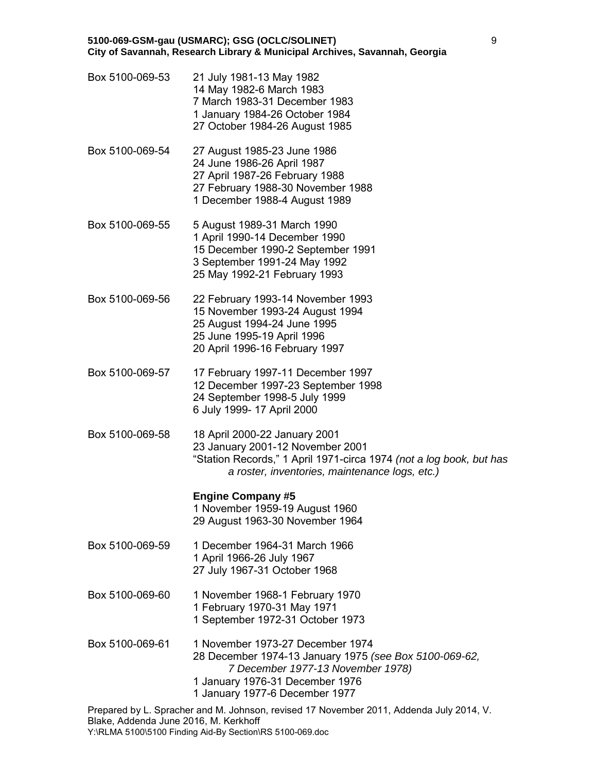| Box 5100-069-53 | 21 July 1981-13 May 1982<br>14 May 1982-6 March 1983<br>7 March 1983-31 December 1983<br>1 January 1984-26 October 1984<br>27 October 1984-26 August 1985                                            |
|-----------------|------------------------------------------------------------------------------------------------------------------------------------------------------------------------------------------------------|
| Box 5100-069-54 | 27 August 1985-23 June 1986<br>24 June 1986-26 April 1987<br>27 April 1987-26 February 1988<br>27 February 1988-30 November 1988<br>1 December 1988-4 August 1989                                    |
| Box 5100-069-55 | 5 August 1989-31 March 1990<br>1 April 1990-14 December 1990<br>15 December 1990-2 September 1991<br>3 September 1991-24 May 1992<br>25 May 1992-21 February 1993                                    |
| Box 5100-069-56 | 22 February 1993-14 November 1993<br>15 November 1993-24 August 1994<br>25 August 1994-24 June 1995<br>25 June 1995-19 April 1996<br>20 April 1996-16 February 1997                                  |
| Box 5100-069-57 | 17 February 1997-11 December 1997<br>12 December 1997-23 September 1998<br>24 September 1998-5 July 1999<br>6 July 1999- 17 April 2000                                                               |
| Box 5100-069-58 | 18 April 2000-22 January 2001<br>23 January 2001-12 November 2001<br>"Station Records," 1 April 1971-circa 1974 (not a log book, but has<br>a roster, inventories, maintenance logs, etc.)           |
|                 | <b>Engine Company #5</b><br>1 November 1959-19 August 1960<br>29 August 1963-30 November 1964                                                                                                        |
| Box 5100-069-59 | 1 December 1964-31 March 1966<br>1 April 1966-26 July 1967<br>27 July 1967-31 October 1968                                                                                                           |
| Box 5100-069-60 | 1 November 1968-1 February 1970<br>1 February 1970-31 May 1971<br>1 September 1972-31 October 1973                                                                                                   |
| Box 5100-069-61 | 1 November 1973-27 December 1974<br>28 December 1974-13 January 1975 (see Box 5100-069-62,<br>7 December 1977-13 November 1978)<br>1 January 1976-31 December 1976<br>1 January 1977-6 December 1977 |
|                 | Drapared by L. Spracher and M. Johnson, revised 17 November 2011, Addenda, July 2014, V.                                                                                                             |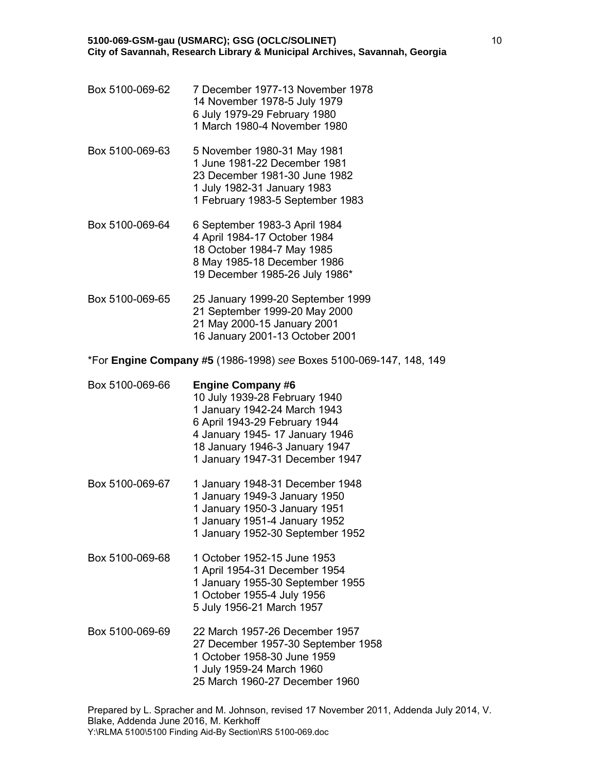- Box 5100-069-62 7 December 1977-13 November 1978 14 November 1978-5 July 1979 6 July 1979-29 February 1980 1 March 1980-4 November 1980
- Box 5100-069-63 5 November 1980-31 May 1981 1 June 1981-22 December 1981 23 December 1981-30 June 1982 1 July 1982-31 January 1983 1 February 1983-5 September 1983
- Box 5100-069-64 6 September 1983-3 April 1984 4 April 1984-17 October 1984 18 October 1984-7 May 1985 8 May 1985-18 December 1986 19 December 1985-26 July 1986\*
- Box 5100-069-65 25 January 1999-20 September 1999 21 September 1999-20 May 2000 21 May 2000-15 January 2001 16 January 2001-13 October 2001

\*For **Engine Company #5** (1986-1998) *see* Boxes 5100-069-147, 148, 149

- Box 5100-069-66 **Engine Company #6** 10 July 1939-28 February 1940 1 January 1942-24 March 1943 6 April 1943-29 February 1944 4 January 1945- 17 January 1946 18 January 1946-3 January 1947 1 January 1947-31 December 1947
- Box 5100-069-67 1 January 1948-31 December 1948 1 January 1949-3 January 1950 1 January 1950-3 January 1951 1 January 1951-4 January 1952 1 January 1952-30 September 1952
- Box 5100-069-68 1 October 1952-15 June 1953 1 April 1954-31 December 1954 1 January 1955-30 September 1955 1 October 1955-4 July 1956 5 July 1956-21 March 1957
- Box 5100-069-69 22 March 1957-26 December 1957 27 December 1957-30 September 1958 1 October 1958-30 June 1959 1 July 1959-24 March 1960 25 March 1960-27 December 1960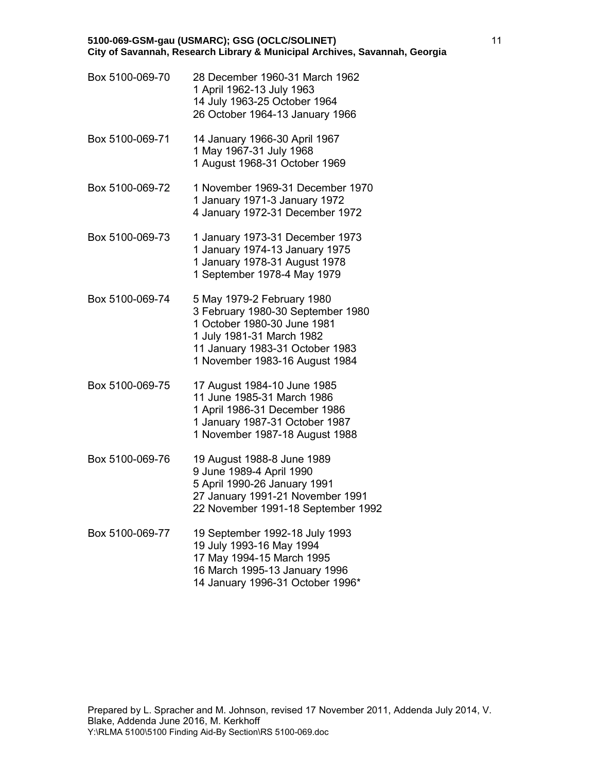| Box 5100-069-70 | 28 December 1960-31 March 1962<br>1 April 1962-13 July 1963<br>14 July 1963-25 October 1964<br>26 October 1964-13 January 1966                                                                   |
|-----------------|--------------------------------------------------------------------------------------------------------------------------------------------------------------------------------------------------|
| Box 5100-069-71 | 14 January 1966-30 April 1967<br>1 May 1967-31 July 1968<br>1 August 1968-31 October 1969                                                                                                        |
| Box 5100-069-72 | 1 November 1969-31 December 1970<br>1 January 1971-3 January 1972<br>4 January 1972-31 December 1972                                                                                             |
| Box 5100-069-73 | 1 January 1973-31 December 1973<br>1 January 1974-13 January 1975<br>1 January 1978-31 August 1978<br>1 September 1978-4 May 1979                                                                |
| Box 5100-069-74 | 5 May 1979-2 February 1980<br>3 February 1980-30 September 1980<br>1 October 1980-30 June 1981<br>1 July 1981-31 March 1982<br>11 January 1983-31 October 1983<br>1 November 1983-16 August 1984 |
| Box 5100-069-75 | 17 August 1984-10 June 1985<br>11 June 1985-31 March 1986<br>1 April 1986-31 December 1986<br>1 January 1987-31 October 1987<br>1 November 1987-18 August 1988                                   |
| Box 5100-069-76 | 19 August 1988-8 June 1989<br>9 June 1989-4 April 1990<br>5 April 1990-26 January 1991<br>27 January 1991-21 November 1991                                                                       |

Box 5100-069-77 19 September 1992-18 July 1993 19 July 1993-16 May 1994 17 May 1994-15 March 1995 16 March 1995-13 January 1996 14 January 1996-31 October 1996\*

22 November 1991-18 September 1992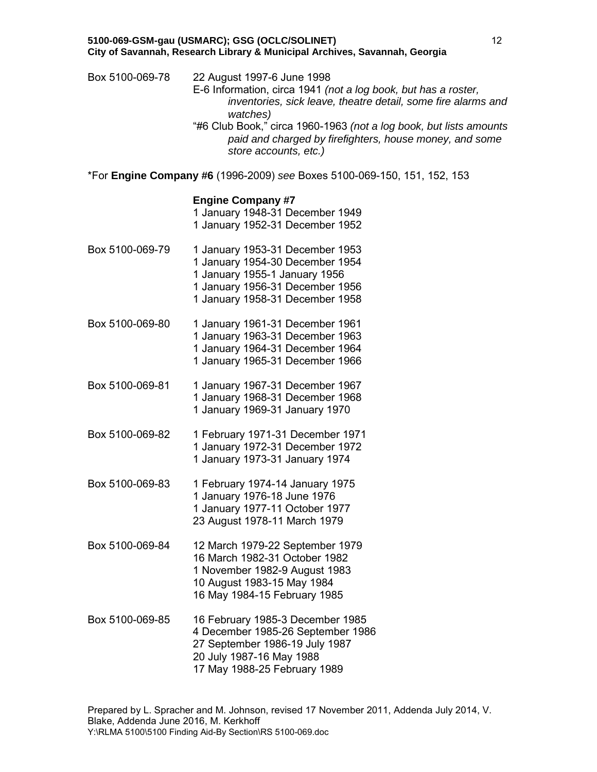Box 5100-069-78 22 August 1997-6 June 1998 E-6 Information, circa 1941 *(not a log book, but has a roster, inventories, sick leave, theatre detail, some fire alarms and watches)* "#6 Club Book," circa 1960-1963 *(not a log book, but lists amounts paid and charged by firefighters, house money, and some store accounts, etc.)*

\*For **Engine Company #6** (1996-2009) *see* Boxes 5100-069-150, 151, 152, 153

### **Engine Company #7**

|                 | 1 January 1948-31 December 1949<br>1 January 1952-31 December 1952                                                                                                        |
|-----------------|---------------------------------------------------------------------------------------------------------------------------------------------------------------------------|
| Box 5100-069-79 | 1 January 1953-31 December 1953<br>1 January 1954-30 December 1954<br>1 January 1955-1 January 1956<br>1 January 1956-31 December 1956<br>1 January 1958-31 December 1958 |
| Box 5100-069-80 | 1 January 1961-31 December 1961<br>1 January 1963-31 December 1963<br>1 January 1964-31 December 1964<br>1 January 1965-31 December 1966                                  |
| Box 5100-069-81 | 1 January 1967-31 December 1967<br>1 January 1968-31 December 1968<br>1 January 1969-31 January 1970                                                                      |
| Box 5100-069-82 | 1 February 1971-31 December 1971<br>1 January 1972-31 December 1972<br>1 January 1973-31 January 1974                                                                     |
| Box 5100-069-83 | 1 February 1974-14 January 1975<br>1 January 1976-18 June 1976<br>1 January 1977-11 October 1977<br>23 August 1978-11 March 1979                                          |
| Box 5100-069-84 | 12 March 1979-22 September 1979<br>16 March 1982-31 October 1982<br>1 November 1982-9 August 1983<br>10 August 1983-15 May 1984<br>16 May 1984-15 February 1985           |
| Box 5100-069-85 | 16 February 1985-3 December 1985<br>4 December 1985-26 September 1986<br>27 September 1986-19 July 1987<br>20 July 1987-16 May 1988<br>17 May 1988-25 February 1989       |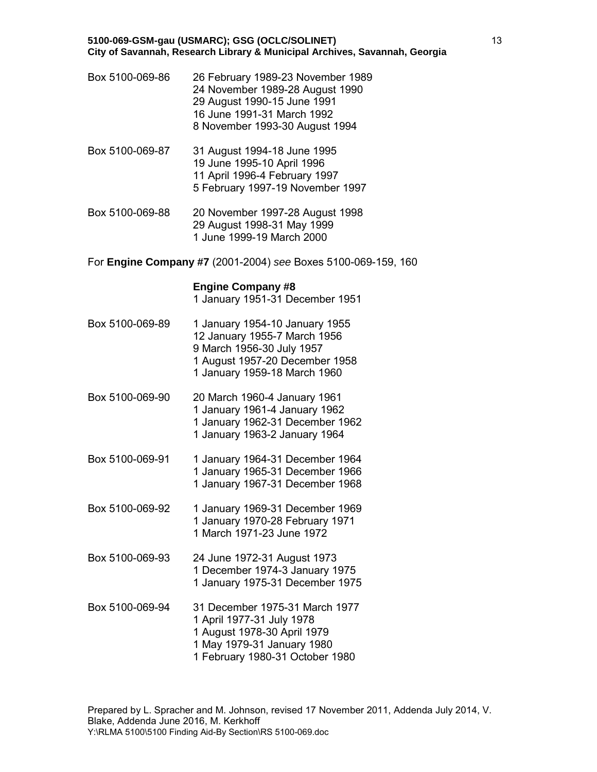- Box 5100-069-86 26 February 1989-23 November 1989 24 November 1989-28 August 1990 29 August 1990-15 June 1991 16 June 1991-31 March 1992 8 November 1993-30 August 1994
- Box 5100-069-87 31 August 1994-18 June 1995 19 June 1995-10 April 1996 11 April 1996-4 February 1997 5 February 1997-19 November 1997
- Box 5100-069-88 20 November 1997-28 August 1998 29 August 1998-31 May 1999 1 June 1999-19 March 2000
- For **Engine Company #7** (2001-2004) *see* Boxes 5100-069-159, 160

# **Engine Company #8**

1 January 1951-31 December 1951

- Box 5100-069-89 1 January 1954-10 January 1955 12 January 1955-7 March 1956 9 March 1956-30 July 1957 1 August 1957-20 December 1958 1 January 1959-18 March 1960
- Box 5100-069-90 20 March 1960-4 January 1961 1 January 1961-4 January 1962 1 January 1962-31 December 1962 1 January 1963-2 January 1964
- Box 5100-069-91 1 January 1964-31 December 1964 1 January 1965-31 December 1966 1 January 1967-31 December 1968
- Box 5100-069-92 1 January 1969-31 December 1969 1 January 1970-28 February 1971 1 March 1971-23 June 1972
- Box 5100-069-93 24 June 1972-31 August 1973 1 December 1974-3 January 1975 1 January 1975-31 December 1975
- Box 5100-069-94 31 December 1975-31 March 1977 1 April 1977-31 July 1978 1 August 1978-30 April 1979 1 May 1979-31 January 1980 1 February 1980-31 October 1980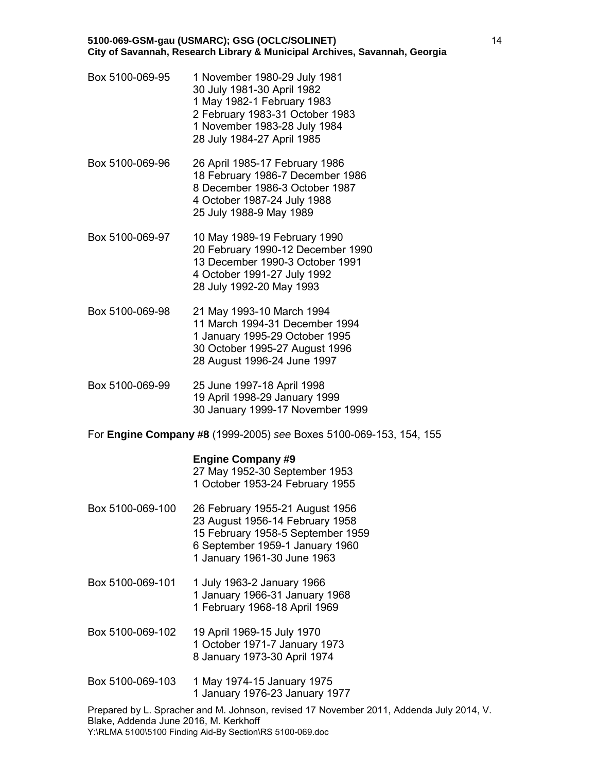- Box 5100-069-95 1 November 1980-29 July 1981 30 July 1981-30 April 1982 1 May 1982-1 February 1983 2 February 1983-31 October 1983 1 November 1983-28 July 1984 28 July 1984-27 April 1985
- Box 5100-069-96 26 April 1985-17 February 1986 18 February 1986-7 December 1986 8 December 1986-3 October 1987 4 October 1987-24 July 1988 25 July 1988-9 May 1989
- Box 5100-069-97 10 May 1989-19 February 1990 20 February 1990-12 December 1990 13 December 1990-3 October 1991 4 October 1991-27 July 1992 28 July 1992-20 May 1993
- Box 5100-069-98 21 May 1993-10 March 1994 11 March 1994-31 December 1994 1 January 1995-29 October 1995 30 October 1995-27 August 1996 28 August 1996-24 June 1997
- Box 5100-069-99 25 June 1997-18 April 1998 19 April 1998-29 January 1999 30 January 1999-17 November 1999
- For **Engine Company #8** (1999-2005) *see* Boxes 5100-069-153, 154, 155

# **Engine Company #9**

27 May 1952-30 September 1953 1 October 1953-24 February 1955

- Box 5100-069-100 26 February 1955-21 August 1956 23 August 1956-14 February 1958 15 February 1958-5 September 1959 6 September 1959-1 January 1960 1 January 1961-30 June 1963
- Box 5100-069-101 1 July 1963-2 January 1966 1 January 1966-31 January 1968 1 February 1968-18 April 1969
- Box 5100-069-102 19 April 1969-15 July 1970 1 October 1971-7 January 1973 8 January 1973-30 April 1974
- Box 5100-069-103 1 May 1974-15 January 1975 1 January 1976-23 January 1977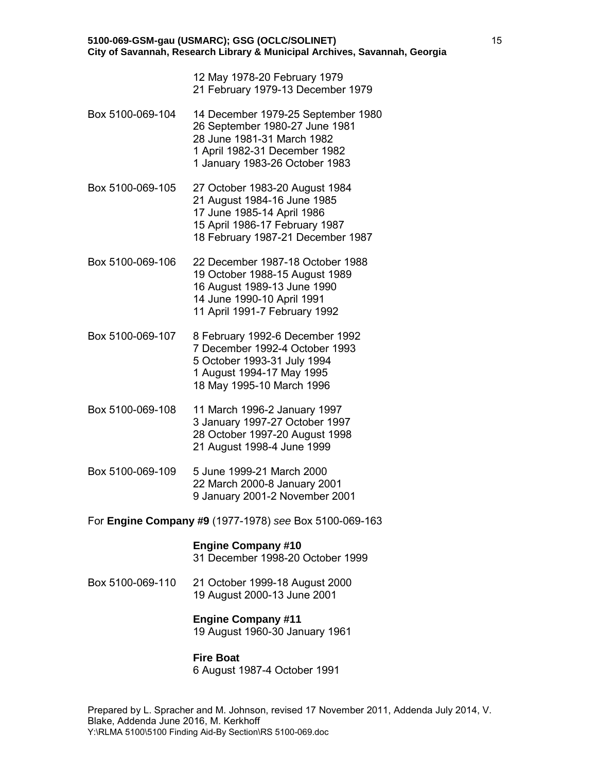| 5100-069-GSM-gau (USMARC); GSG (OCLC/SOLINET)                              |
|----------------------------------------------------------------------------|
| City of Savannah, Research Library & Municipal Archives, Savannah, Georgia |

| 12 May 1978-20 February 1979      |  |
|-----------------------------------|--|
| 21 February 1979-13 December 1979 |  |

- Box 5100-069-104 14 December 1979-25 September 1980 26 September 1980-27 June 1981 28 June 1981-31 March 1982 1 April 1982-31 December 1982 1 January 1983-26 October 1983
- Box 5100-069-105 27 October 1983-20 August 1984 21 August 1984-16 June 1985 17 June 1985-14 April 1986 15 April 1986-17 February 1987 18 February 1987-21 December 1987
- Box 5100-069-106 22 December 1987-18 October 1988 19 October 1988-15 August 1989 16 August 1989-13 June 1990 14 June 1990-10 April 1991 11 April 1991-7 February 1992
- Box 5100-069-107 8 February 1992-6 December 1992 7 December 1992-4 October 1993 5 October 1993-31 July 1994 1 August 1994-17 May 1995 18 May 1995-10 March 1996
- Box 5100-069-108 11 March 1996-2 January 1997 3 January 1997-27 October 1997 28 October 1997-20 August 1998 21 August 1998-4 June 1999
- Box 5100-069-109 5 June 1999-21 March 2000 22 March 2000-8 January 2001 9 January 2001-2 November 2001
- For **Engine Company #9** (1977-1978) *see* Box 5100-069-163

# **Engine Company #10**

31 December 1998-20 October 1999

Box 5100-069-110 21 October 1999-18 August 2000 19 August 2000-13 June 2001

# **Engine Company #11**

19 August 1960-30 January 1961

# **Fire Boat**

6 August 1987-4 October 1991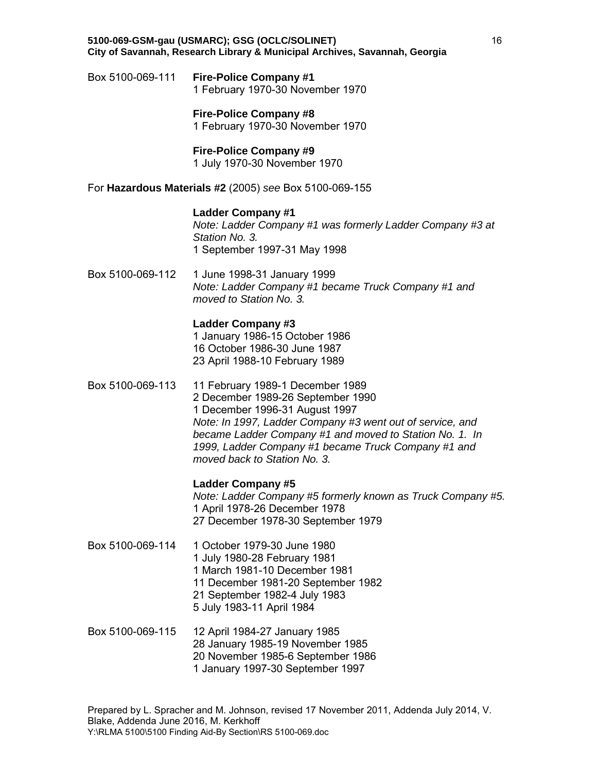Box 5100-069-111 **Fire-Police Company #1** 1 February 1970-30 November 1970

> **Fire-Police Company #8** 1 February 1970-30 November 1970

# **Fire-Police Company #9**

1 July 1970-30 November 1970

For **Hazardous Materials #2** (2005) *see* Box 5100-069-155

# **Ladder Company #1**

*Note: Ladder Company #1 was formerly Ladder Company #3 at Station No. 3.* 1 September 1997-31 May 1998

Box 5100-069-112 1 June 1998-31 January 1999 *Note: Ladder Company #1 became Truck Company #1 and moved to Station No. 3.*

# **Ladder Company #3**

1 January 1986-15 October 1986 16 October 1986-30 June 1987 23 April 1988-10 February 1989

Box 5100-069-113 11 February 1989-1 December 1989 2 December 1989-26 September 1990 1 December 1996-31 August 1997 *Note: In 1997, Ladder Company #3 went out of service, and became Ladder Company #1 and moved to Station No. 1. In 1999, Ladder Company #1 became Truck Company #1 and moved back to Station No. 3.*

# **Ladder Company #5**

*Note: Ladder Company #5 formerly known as Truck Company #5.* 1 April 1978-26 December 1978 27 December 1978-30 September 1979

- Box 5100-069-114 1 October 1979-30 June 1980 1 July 1980-28 February 1981 1 March 1981-10 December 1981 11 December 1981-20 September 1982 21 September 1982-4 July 1983 5 July 1983-11 April 1984
- Box 5100-069-115 12 April 1984-27 January 1985 28 January 1985-19 November 1985 20 November 1985-6 September 1986 1 January 1997-30 September 1997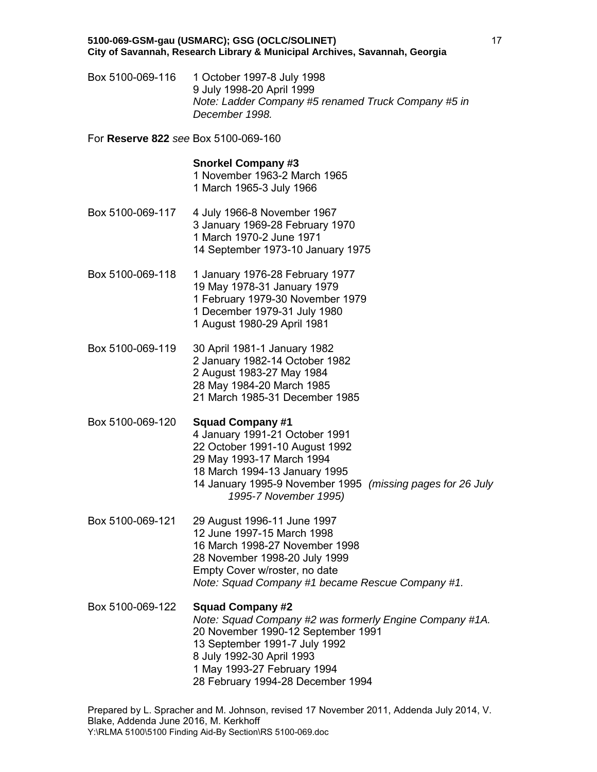Box 5100-069-116 1 October 1997-8 July 1998 9 July 1998-20 April 1999 *Note: Ladder Company #5 renamed Truck Company #5 in December 1998.*

For **Reserve 822** *see* Box 5100-069-160

#### **Snorkel Company #3**

1 November 1963-2 March 1965 1 March 1965-3 July 1966

- Box 5100-069-117 4 July 1966-8 November 1967 3 January 1969-28 February 1970 1 March 1970-2 June 1971 14 September 1973-10 January 1975
- Box 5100-069-118 1 January 1976-28 February 1977 19 May 1978-31 January 1979 1 February 1979-30 November 1979 1 December 1979-31 July 1980 1 August 1980-29 April 1981
- Box 5100-069-119 30 April 1981-1 January 1982 2 January 1982-14 October 1982 2 August 1983-27 May 1984 28 May 1984-20 March 1985 21 March 1985-31 December 1985
- Box 5100-069-120 **Squad Company #1** 4 January 1991-21 October 1991 22 October 1991-10 August 1992 29 May 1993-17 March 1994 18 March 1994-13 January 1995 14 January 1995-9 November 1995 *(missing pages for 26 July 1995-7 November 1995)*
- Box 5100-069-121 29 August 1996-11 June 1997 12 June 1997-15 March 1998 16 March 1998-27 November 1998 28 November 1998-20 July 1999 Empty Cover w/roster, no date *Note: Squad Company #1 became Rescue Company #1.*
- Box 5100-069-122 **Squad Company #2** *Note: Squad Company #2 was formerly Engine Company #1A.* 20 November 1990-12 September 1991 13 September 1991-7 July 1992 8 July 1992-30 April 1993 1 May 1993-27 February 1994 28 February 1994-28 December 1994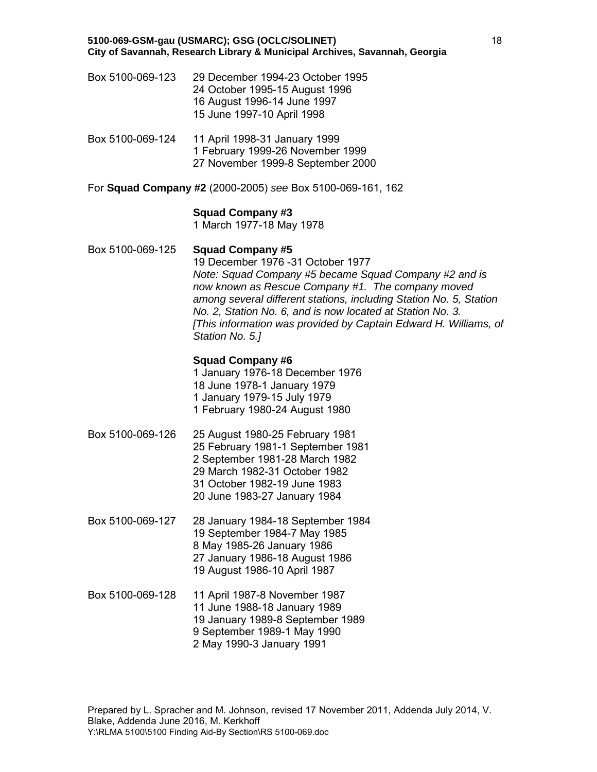- Box 5100-069-123 29 December 1994-23 October 1995 24 October 1995-15 August 1996 16 August 1996-14 June 1997 15 June 1997-10 April 1998
- Box 5100-069-124 11 April 1998-31 January 1999 1 February 1999-26 November 1999 27 November 1999-8 September 2000
- For **Squad Company #2** (2000-2005) *see* Box 5100-069-161, 162

# **Squad Company #3**

1 March 1977-18 May 1978

# Box 5100-069-125 **Squad Company #5**

19 December 1976 -31 October 1977 *Note: Squad Company #5 became Squad Company #2 and is now known as Rescue Company #1. The company moved among several different stations, including Station No. 5, Station No. 2, Station No. 6, and is now located at Station No. 3. [This information was provided by Captain Edward H. Williams, of Station No. 5.]*

# **Squad Company #6**

1 January 1976-18 December 1976 18 June 1978-1 January 1979 1 January 1979-15 July 1979 1 February 1980-24 August 1980

- Box 5100-069-126 25 August 1980-25 February 1981 25 February 1981-1 September 1981 2 September 1981-28 March 1982 29 March 1982-31 October 1982 31 October 1982-19 June 1983 20 June 1983-27 January 1984
- Box 5100-069-127 28 January 1984-18 September 1984 19 September 1984-7 May 1985 8 May 1985-26 January 1986 27 January 1986-18 August 1986 19 August 1986-10 April 1987
- Box 5100-069-128 11 April 1987-8 November 1987 11 June 1988-18 January 1989 19 January 1989-8 September 1989 9 September 1989-1 May 1990 2 May 1990-3 January 1991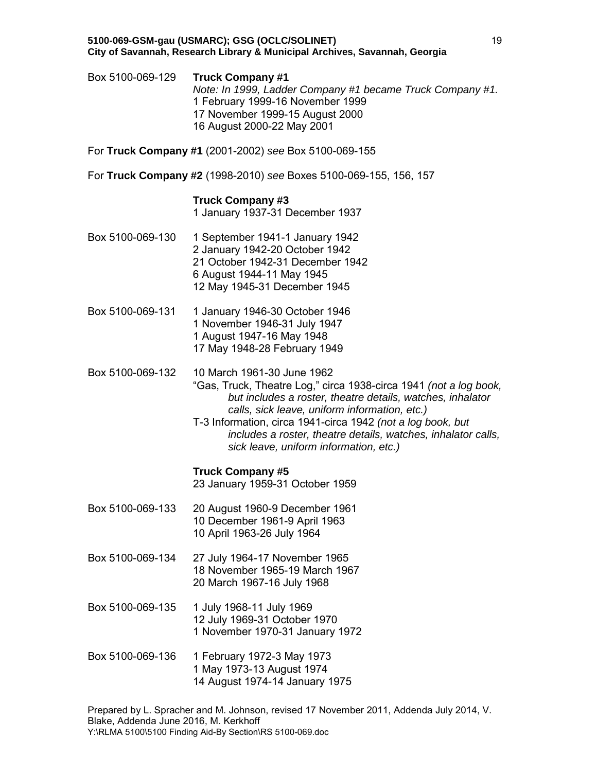Box 5100-069-129 **Truck Company #1** *Note: In 1999, Ladder Company #1 became Truck Company #1.* 1 February 1999-16 November 1999 17 November 1999-15 August 2000 16 August 2000-22 May 2001

For **Truck Company #1** (2001-2002) *see* Box 5100-069-155

For **Truck Company #2** (1998-2010) *see* Boxes 5100-069-155, 156, 157

# **Truck Company #3**

1 January 1937-31 December 1937

- Box 5100-069-130 1 September 1941-1 January 1942 2 January 1942-20 October 1942 21 October 1942-31 December 1942 6 August 1944-11 May 1945 12 May 1945-31 December 1945
- Box 5100-069-131 1 January 1946-30 October 1946 1 November 1946-31 July 1947 1 August 1947-16 May 1948 17 May 1948-28 February 1949
- Box 5100-069-132 10 March 1961-30 June 1962
	- "Gas, Truck, Theatre Log," circa 1938-circa 1941 *(not a log book, but includes a roster, theatre details, watches, inhalator calls, sick leave, uniform information, etc.)*
	- T-3 Information, circa 1941-circa 1942 *(not a log book, but includes a roster, theatre details, watches, inhalator calls, sick leave, uniform information, etc.)*

# **Truck Company #5**

23 January 1959-31 October 1959

- Box 5100-069-133 20 August 1960-9 December 1961 10 December 1961-9 April 1963 10 April 1963-26 July 1964
- Box 5100-069-134 27 July 1964-17 November 1965 18 November 1965-19 March 1967 20 March 1967-16 July 1968
- Box 5100-069-135 1 July 1968-11 July 1969 12 July 1969-31 October 1970 1 November 1970-31 January 1972
- Box 5100-069-136 1 February 1972-3 May 1973 1 May 1973-13 August 1974 14 August 1974-14 January 1975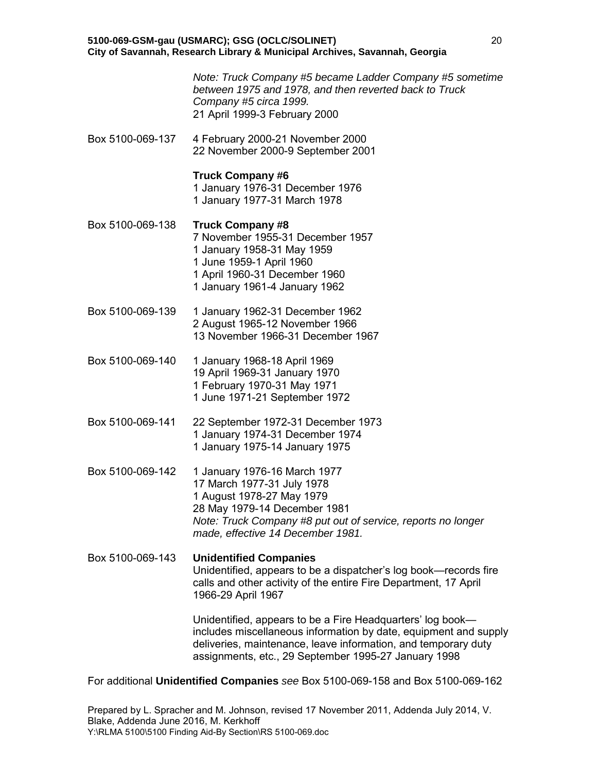*Note: Truck Company #5 became Ladder Company #5 sometime between 1975 and 1978, and then reverted back to Truck Company #5 circa 1999.* 21 April 1999-3 February 2000

Box 5100-069-137 4 February 2000-21 November 2000 22 November 2000-9 September 2001

# **Truck Company #6**

1 January 1976-31 December 1976 1 January 1977-31 March 1978

- Box 5100-069-138 **Truck Company #8**  7 November 1955-31 December 1957 1 January 1958-31 May 1959 1 June 1959-1 April 1960 1 April 1960-31 December 1960 1 January 1961-4 January 1962
- Box 5100-069-139 1 January 1962-31 December 1962 2 August 1965-12 November 1966 13 November 1966-31 December 1967
- Box 5100-069-140 1 January 1968-18 April 1969 19 April 1969-31 January 1970 1 February 1970-31 May 1971 1 June 1971-21 September 1972
- Box 5100-069-141 22 September 1972-31 December 1973 1 January 1974-31 December 1974 1 January 1975-14 January 1975
- Box 5100-069-142 1 January 1976-16 March 1977 17 March 1977-31 July 1978 1 August 1978-27 May 1979 28 May 1979-14 December 1981 *Note: Truck Company #8 put out of service, reports no longer made, effective 14 December 1981.*

Box 5100-069-143 **Unidentified Companies** Unidentified, appears to be a dispatcher's log book—records fire calls and other activity of the entire Fire Department, 17 April 1966-29 April 1967

> Unidentified, appears to be a Fire Headquarters' log book includes miscellaneous information by date, equipment and supply deliveries, maintenance, leave information, and temporary duty assignments, etc., 29 September 1995-27 January 1998

For additional **Unidentified Companies** *see* Box 5100-069-158 and Box 5100-069-162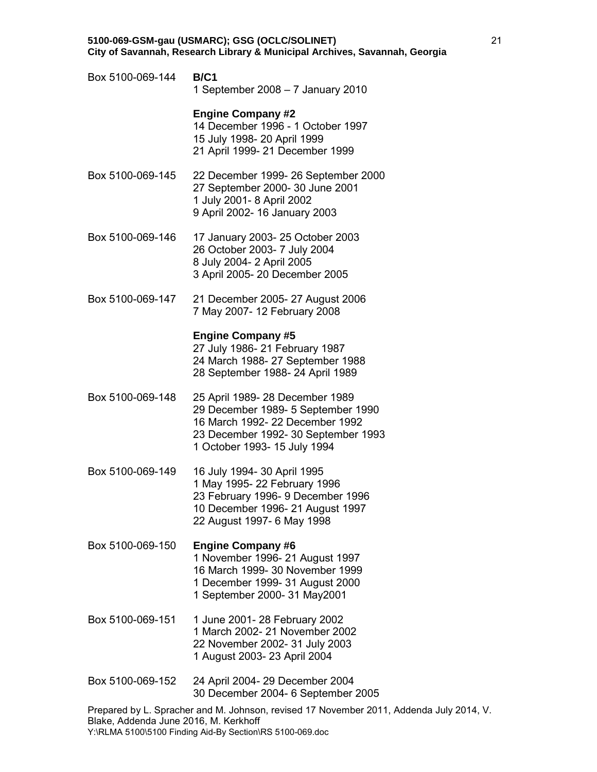Box 5100-069-144 **B/C1** 1 September 2008 – 7 January 2010

### **Engine Company #2**

14 December 1996 - 1 October 1997 15 July 1998- 20 April 1999 21 April 1999- 21 December 1999

- Box 5100-069-145 22 December 1999- 26 September 2000 27 September 2000- 30 June 2001 1 July 2001- 8 April 2002 9 April 2002- 16 January 2003
- Box 5100-069-146 17 January 2003- 25 October 2003 26 October 2003- 7 July 2004 8 July 2004- 2 April 2005 3 April 2005- 20 December 2005
- Box 5100-069-147 21 December 2005- 27 August 2006 7 May 2007- 12 February 2008

### **Engine Company #5**

27 July 1986- 21 February 1987 24 March 1988- 27 September 1988 28 September 1988- 24 April 1989

- Box 5100-069-148 25 April 1989- 28 December 1989 29 December 1989- 5 September 1990 16 March 1992- 22 December 1992 23 December 1992- 30 September 1993 1 October 1993- 15 July 1994
- Box 5100-069-149 16 July 1994- 30 April 1995 1 May 1995- 22 February 1996 23 February 1996- 9 December 1996 10 December 1996- 21 August 1997 22 August 1997- 6 May 1998
- Box 5100-069-150 **Engine Company #6** 1 November 1996- 21 August 1997 16 March 1999- 30 November 1999 1 December 1999- 31 August 2000 1 September 2000- 31 May2001
- Box 5100-069-151 1 June 2001- 28 February 2002 1 March 2002- 21 November 2002 22 November 2002- 31 July 2003 1 August 2003- 23 April 2004
- Box 5100-069-152 24 April 2004- 29 December 2004 30 December 2004- 6 September 2005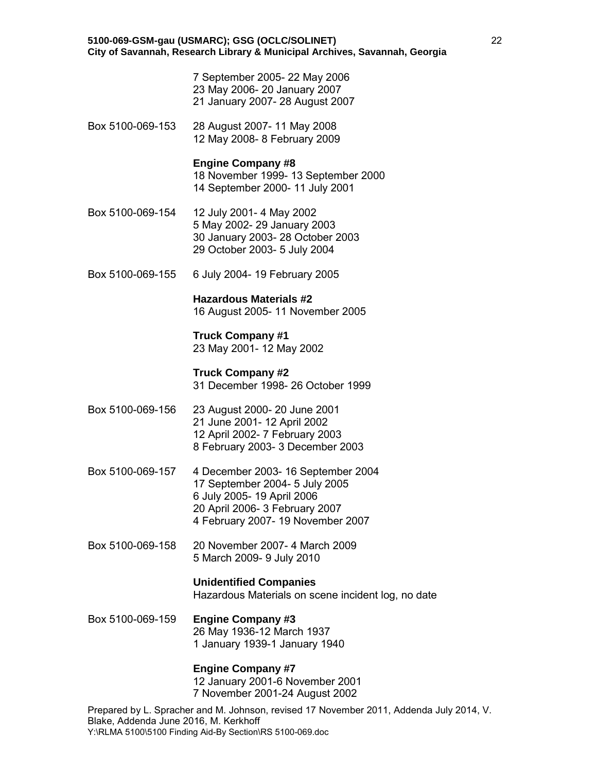7 September 2005- 22 May 2006 23 May 2006- 20 January 2007 21 January 2007- 28 August 2007

Box 5100-069-153 28 August 2007- 11 May 2008 12 May 2008- 8 February 2009

### **Engine Company #8**

 18 November 1999- 13 September 2000 14 September 2000- 11 July 2001

- Box 5100-069-154 12 July 2001- 4 May 2002 5 May 2002- 29 January 2003 30 January 2003- 28 October 2003 29 October 2003- 5 July 2004
- Box 5100-069-155 6 July 2004- 19 February 2005

# **Hazardous Materials #2**

16 August 2005- 11 November 2005

# **Truck Company #1**

23 May 2001- 12 May 2002

# **Truck Company #2**

31 December 1998- 26 October 1999

- Box 5100-069-156 23 August 2000- 20 June 2001 21 June 2001- 12 April 2002 12 April 2002- 7 February 2003 8 February 2003- 3 December 2003
- Box 5100-069-157 4 December 2003- 16 September 2004 17 September 2004- 5 July 2005 6 July 2005- 19 April 2006 20 April 2006- 3 February 2007 4 February 2007- 19 November 2007
- Box 5100-069-158 20 November 2007- 4 March 2009 5 March 2009- 9 July 2010

# **Unidentified Companies**

Hazardous Materials on scene incident log, no date

Box 5100-069-159 **Engine Company #3** 26 May 1936-12 March 1937 1 January 1939-1 January 1940

# **Engine Company #7**

 12 January 2001-6 November 2001 7 November 2001-24 August 2002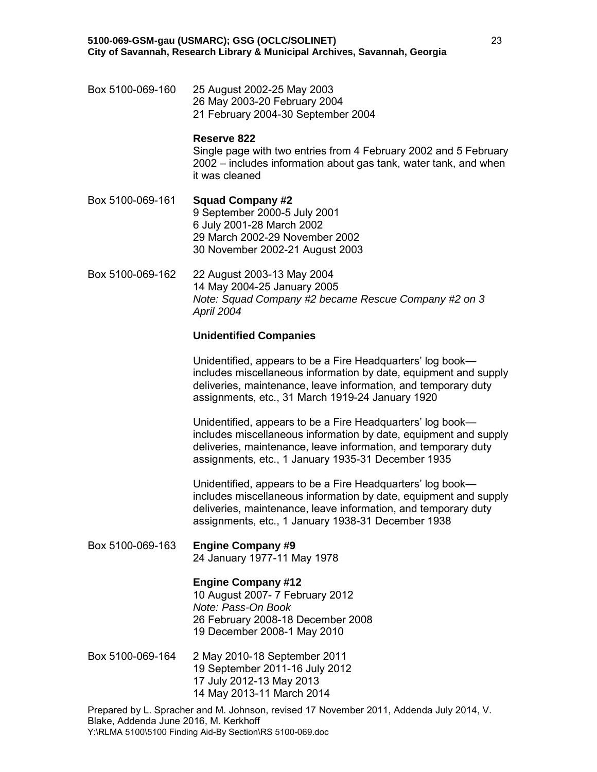Box 5100-069-160 25 August 2002-25 May 2003 26 May 2003-20 February 2004 21 February 2004-30 September 2004

### **Reserve 822**

Single page with two entries from 4 February 2002 and 5 February 2002 – includes information about gas tank, water tank, and when it was cleaned

Box 5100-069-161 **Squad Company #2** 9 September 2000-5 July 2001 6 July 2001-28 March 2002 29 March 2002-29 November 2002 30 November 2002-21 August 2003

Box 5100-069-162 22 August 2003-13 May 2004 14 May 2004-25 January 2005 *Note: Squad Company #2 became Rescue Company #2 on 3 April 2004*

### **Unidentified Companies**

Unidentified, appears to be a Fire Headquarters' log book includes miscellaneous information by date, equipment and supply deliveries, maintenance, leave information, and temporary duty assignments, etc., 31 March 1919-24 January 1920

Unidentified, appears to be a Fire Headquarters' log book includes miscellaneous information by date, equipment and supply deliveries, maintenance, leave information, and temporary duty assignments, etc., 1 January 1935-31 December 1935

Unidentified, appears to be a Fire Headquarters' log book includes miscellaneous information by date, equipment and supply deliveries, maintenance, leave information, and temporary duty assignments, etc., 1 January 1938-31 December 1938

Box 5100-069-163 **Engine Company #9** 24 January 1977-11 May 1978

# **Engine Company #12**

 10 August 2007- 7 February 2012 *Note: Pass-On Book* 26 February 2008-18 December 2008 19 December 2008-1 May 2010

Box 5100-069-164 2 May 2010-18 September 2011 19 September 2011-16 July 2012 17 July 2012-13 May 2013 14 May 2013-11 March 2014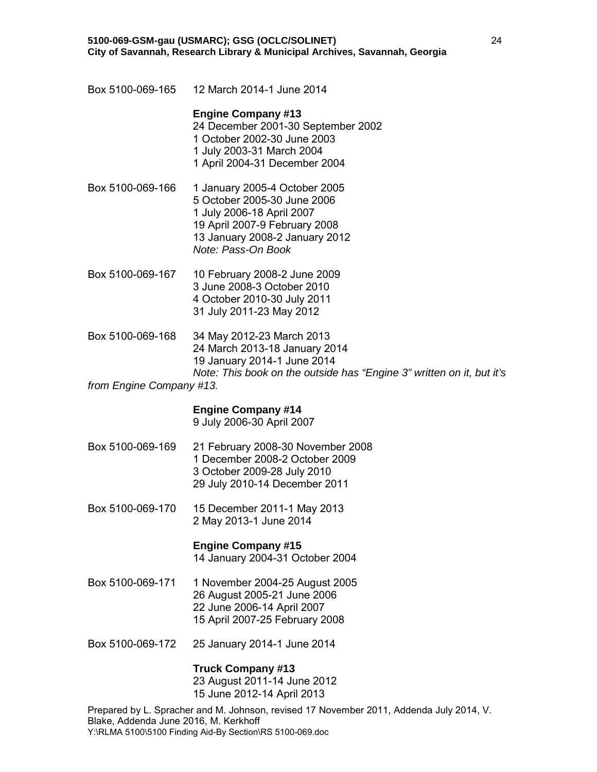Box 5100-069-165 12 March 2014-1 June 2014

### **Engine Company #13**

 24 December 2001-30 September 2002 1 October 2002-30 June 2003 1 July 2003-31 March 2004 1 April 2004-31 December 2004

- Box 5100-069-166 1 January 2005-4 October 2005 5 October 2005-30 June 2006 1 July 2006-18 April 2007 19 April 2007-9 February 2008 13 January 2008-2 January 2012 *Note: Pass-On Book*
- Box 5100-069-167 10 February 2008-2 June 2009 3 June 2008-3 October 2010 4 October 2010-30 July 2011 31 July 2011-23 May 2012
- Box 5100-069-168 34 May 2012-23 March 2013 24 March 2013-18 January 2014 19 January 2014-1 June 2014 *Note: This book on the outside has "Engine 3" written on it, but it's*

# *from Engine Company #13.*

# **Engine Company #14**

9 July 2006-30 April 2007

- Box 5100-069-169 21 February 2008-30 November 2008 1 December 2008-2 October 2009 3 October 2009-28 July 2010 29 July 2010-14 December 2011
- Box 5100-069-170 15 December 2011-1 May 2013 2 May 2013-1 June 2014

# **Engine Company #15**

14 January 2004-31 October 2004

- Box 5100-069-171 1 November 2004-25 August 2005 26 August 2005-21 June 2006 22 June 2006-14 April 2007 15 April 2007-25 February 2008
- Box 5100-069-172 25 January 2014-1 June 2014

# **Truck Company #13**

 23 August 2011-14 June 2012 15 June 2012-14 April 2013